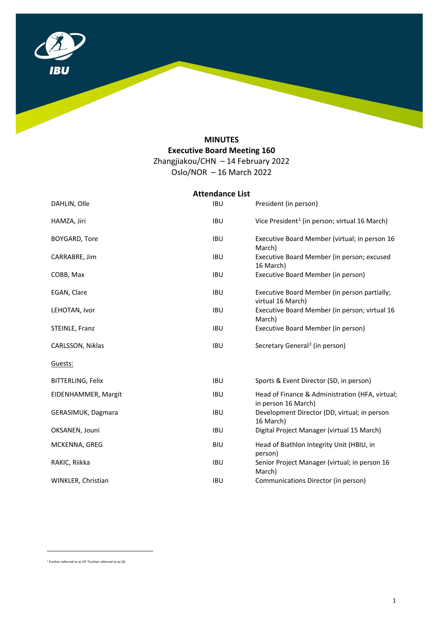

# **MINUTES Executive Board Meeting 160**  Zhangjiakou/CHN – 14 February 2022

 $Oslo/NOR - 16 March 2022$ 

|                          | <b>Attendance List</b> |                                                                        |
|--------------------------|------------------------|------------------------------------------------------------------------|
| DAHLIN, Olle             | <b>IBU</b>             | President (in person)                                                  |
| HAMZA, Jiri              | <b>IBU</b>             | Vice President <sup>1</sup> (in person; virtual 16 March)              |
| <b>BOYGARD, Tore</b>     | <b>IBU</b>             | Executive Board Member (virtual; in person 16<br>March)                |
| CARRABRE, Jim            | <b>IBU</b>             | Executive Board Member (in person; excused<br>16 March)                |
| COBB, Max                | <b>IBU</b>             | Executive Board Member (in person)                                     |
| EGAN, Clare              | <b>IBU</b>             | Executive Board Member (in person partially;<br>virtual 16 March)      |
| LEHOTAN, Ivor            | <b>IBU</b>             | Executive Board Member (in person; virtual 16<br>March)                |
| STEINLE, Franz           | <b>IBU</b>             | Executive Board Member (in person)                                     |
| CARLSSON, Niklas         | <b>IBU</b>             | Secretary General <sup>2</sup> (in person)                             |
| Guests:                  |                        |                                                                        |
| <b>BITTERLING, Felix</b> | <b>IBU</b>             | Sports & Event Director (SD, in person)                                |
| EIDENHAMMER, Margit      | <b>IBU</b>             | Head of Finance & Administration (HFA, virtual;<br>in person 16 March) |
| GERASIMUK, Dagmara       | <b>IBU</b>             | Development Director (DD, virtual; in person<br>16 March)              |
| OKSANEN, Jouni           | <b>IBU</b>             | Digital Project Manager (virtual 15 March)                             |
| MCKENNA, GREG            | <b>BIU</b>             | Head of Biathlon Integrity Unit (HBIU, in<br>person)                   |
| RAKIC, Riikka            | <b>IBU</b>             | Senior Project Manager (virtual; in person 16<br>March)                |
| WINKLER, Christian       | <b>IBU</b>             | Communications Director (in person)                                    |

<span id="page-0-1"></span><span id="page-0-0"></span><sup>1</sup> Further referred to as VP 2Further referred to as SG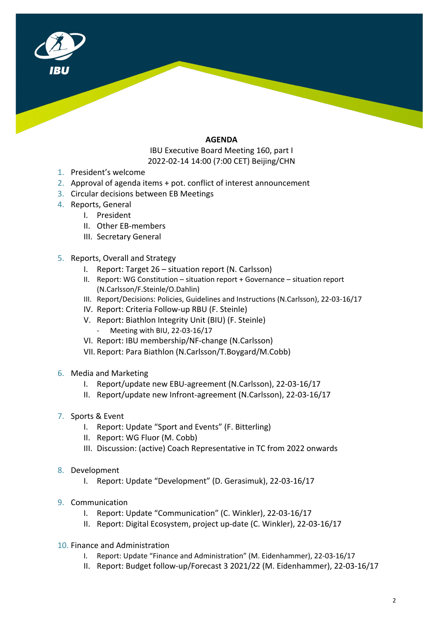

## **AGENDA**

IBU Executive Board Meeting 160, part I 2022-02-14 14:00 (7:00 CET) Beijing/CHN

- 1. President's welcome
- 2. Approval of agenda items + pot. conflict of interest announcement
- 3. Circular decisions between EB Meetings
- 4. Reports, General
	- I. President
	- II. Other EB-members
	- III. Secretary General
- 5. Reports, Overall and Strategy
	- I. Report: Target 26 situation report (N. Carlsson)
	- II. Report: WG Constitution situation report + Governance situation report (N.Carlsson/F.Steinle/O.Dahlin)
	- III. Report/Decisions: Policies, Guidelines and Instructions (N.Carlsson), 22-03-16/17
	- IV. Report: Criteria Follow-up RBU (F. Steinle)
	- V. Report: Biathlon Integrity Unit (BIU) (F. Steinle) Meeting with BIU, 22-03-16/17
	- VI. Report: IBU membership/NF-change (N.Carlsson)
	- VII. Report: Para Biathlon (N.Carlsson/T.Boygard/M.Cobb)
- 6. Media and Marketing
	- I. Report/update new EBU-agreement (N.Carlsson), 22-03-16/17
	- II. Report/update new Infront-agreement (N.Carlsson), 22-03-16/17
- 7. Sports & Event
	- I. Report: Update "Sport and Events" (F. Bitterling)
	- II. Report: WG Fluor (M. Cobb)
	- III. Discussion: (active) Coach Representative in TC from 2022 onwards
- 8. Development
	- I. Report: Update "Development" (D. Gerasimuk), 22-03-16/17
- 9. Communication
	- I. Report: Update "Communication" (C. Winkler), 22-03-16/17
	- II. Report: Digital Ecosystem, project up-date (C. Winkler), 22-03-16/17
- 10. Finance and Administration
	- I. Report: Update "Finance and Administration" (M. Eidenhammer), 22-03-16/17
	- II. Report: Budget follow-up/Forecast 3 2021/22 (M. Eidenhammer), 22-03-16/17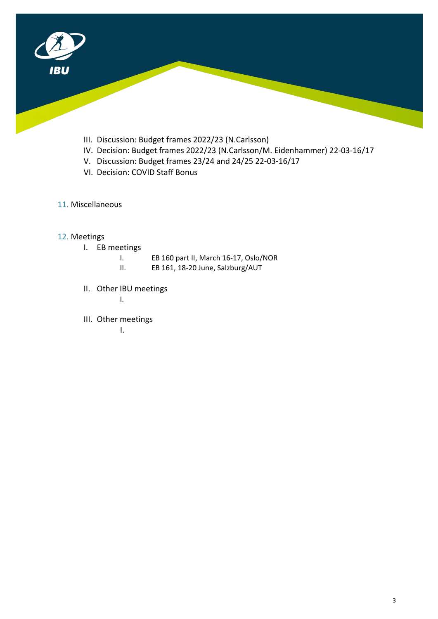

- III. Discussion: Budget frames 2022/23 (N.Carlsson)
- IV. Decision: Budget frames 2022/23 (N.Carlsson/M. Eidenhammer) 22-03-16/17
- V. Discussion: Budget frames 23/24 and 24/25 22-03-16/17
- VI. Decision: COVID Staff Bonus
- 11. Miscellaneous

## 12. Meetings

- I. EB meetings
	- I. EB 160 part II, March 16-17, Oslo/NOR
		- II. EB 161, 18-20 June, Salzburg/AUT
- II. Other IBU meetings

I.

III. Other meetings

I.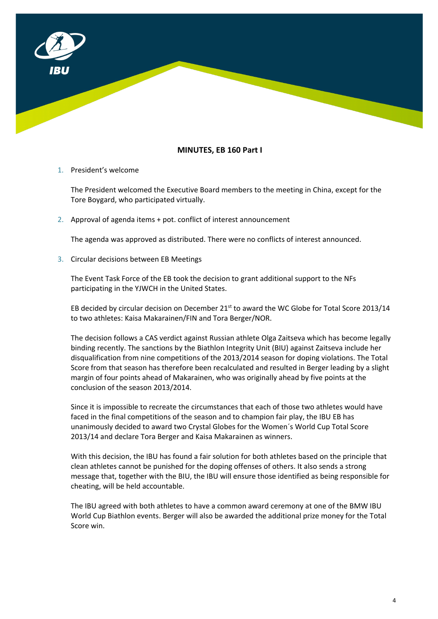

## **MINUTES, EB 160 Part I**

1. President's welcome

The President welcomed the Executive Board members to the meeting in China, except for the Tore Boygard, who participated virtually.

2. Approval of agenda items + pot. conflict of interest announcement

The agenda was approved as distributed. There were no conflicts of interest announced.

#### 3. Circular decisions between EB Meetings

The Event Task Force of the EB took the decision to grant additional support to the NFs participating in the YJWCH in the United States.

EB decided by circular decision on December  $21<sup>st</sup>$  to award the WC Globe for Total Score 2013/14 to two athletes: Kaisa Makarainen/FIN and Tora Berger/NOR.

The decision follows a CAS verdict against Russian athlete Olga Zaitseva which has become legally binding recently. The sanctions by the Biathlon Integrity Unit (BIU) against Zaitseva include her disqualification from nine competitions of the 2013/2014 season for doping violations. The Total Score from that season has therefore been recalculated and resulted in Berger leading by a slight margin of four points ahead of Makarainen, who was originally ahead by five points at the conclusion of the season 2013/2014.

Since it is impossible to recreate the circumstances that each of those two athletes would have faced in the final competitions of the season and to champion fair play, the IBU EB has unanimously decided to award two Crystal Globes for the Women´s World Cup Total Score 2013/14 and declare Tora Berger and Kaisa Makarainen as winners.

With this decision, the IBU has found a fair solution for both athletes based on the principle that clean athletes cannot be punished for the doping offenses of others. It also sends a strong message that, together with the BIU, the IBU will ensure those identified as being responsible for cheating, will be held accountable.

The IBU agreed with both athletes to have a common award ceremony at one of the BMW IBU World Cup Biathlon events. Berger will also be awarded the additional prize money for the Total Score win.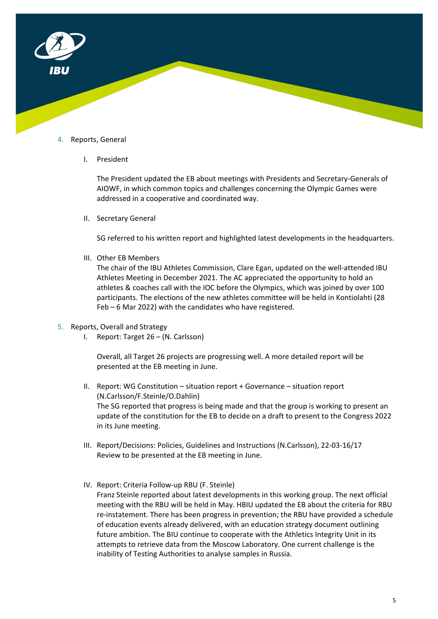

### 4. Reports, General

I. President

The President updated the EB about meetings with Presidents and Secretary-Generals of AIOWF, in which common topics and challenges concerning the Olympic Games were addressed in a cooperative and coordinated way.

II. Secretary General

SG referred to his written report and highlighted latest developments in the headquarters.

III. Other EB Members

The chair of the IBU Athletes Commission, Clare Egan, updated on the well-attended IBU Athletes Meeting in December 2021. The AC appreciated the opportunity to hold an athletes & coaches call with the IOC before the Olympics, which was joined by over 100 participants. The elections of the new athletes committee will be held in Kontiolahti (28 Feb – 6 Mar 2022) with the candidates who have registered.

- 5. Reports, Overall and Strategy
	- I. Report: Target 26 (N. Carlsson)

Overall, all Target 26 projects are progressing well. A more detailed report will be presented at the EB meeting in June.

- II. Report: WG Constitution situation report + Governance situation report (N.Carlsson/F.Steinle/O.Dahlin) The SG reported that progress is being made and that the group is working to present an update of the constitution for the EB to decide on a draft to present to the Congress 2022 in its June meeting.
- III. Report/Decisions: Policies, Guidelines and Instructions (N.Carlsson), 22-03-16/17 Review to be presented at the EB meeting in June.
- IV. Report: Criteria Follow-up RBU (F. Steinle) Franz Steinle reported about latest developments in this working group. The next official meeting with the RBU will be held in May. HBIU updated the EB about the criteria for RBU re-instatement. There has been progress in prevention; the RBU have provided a schedule of education events already delivered, with an education strategy document outlining future ambition. The BIU continue to cooperate with the Athletics Integrity Unit in its attempts to retrieve data from the Moscow Laboratory. One current challenge is the inability of Testing Authorities to analyse samples in Russia.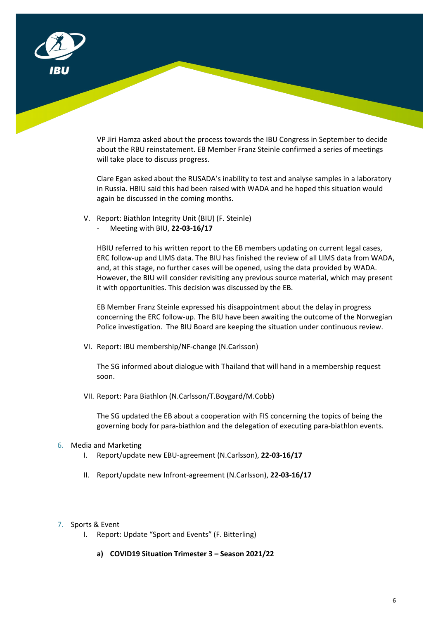

VP Jiri Hamza asked about the process towards the IBU Congress in September to decide about the RBU reinstatement. EB Member Franz Steinle confirmed a series of meetings will take place to discuss progress.

Clare Egan asked about the RUSADA's inability to test and analyse samples in a laboratory in Russia. HBIU said this had been raised with WADA and he hoped this situation would again be discussed in the coming months.

- V. Report: Biathlon Integrity Unit (BIU) (F. Steinle)
	- Meeting with BIU, **22-03-16/17**

HBIU referred to his written report to the EB members updating on current legal cases, ERC follow-up and LIMS data. The BIU has finished the review of all LIMS data from WADA, and, at this stage, no further cases will be opened, using the data provided by WADA. However, the BIU will consider revisiting any previous source material, which may present it with opportunities. This decision was discussed by the EB.

EB Member Franz Steinle expressed his disappointment about the delay in progress concerning the ERC follow-up. The BIU have been awaiting the outcome of the Norwegian Police investigation. The BIU Board are keeping the situation under continuous review.

VI. Report: IBU membership/NF-change (N.Carlsson)

The SG informed about dialogue with Thailand that will hand in a membership request soon.

VII. Report: Para Biathlon (N.Carlsson/T.Boygard/M.Cobb)

The SG updated the EB about a cooperation with FIS concerning the topics of being the governing body for para-biathlon and the delegation of executing para-biathlon events.

### 6. Media and Marketing

- I. Report/update new EBU-agreement (N.Carlsson), **22-03-16/17**
- II. Report/update new Infront-agreement (N.Carlsson), **22-03-16/17**

#### 7. Sports & Event

- I. Report: Update "Sport and Events" (F. Bitterling)
	- **a) COVID19 Situation Trimester 3 – Season 2021/22**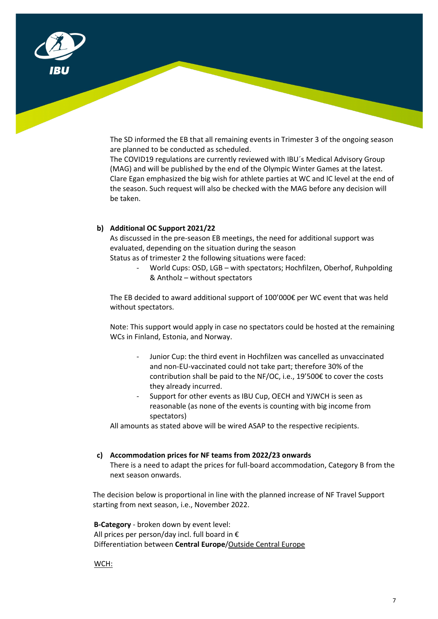

The SD informed the EB that all remaining events in Trimester 3 of the ongoing season are planned to be conducted as scheduled.

The COVID19 regulations are currently reviewed with IBU´s Medical Advisory Group (MAG) and will be published by the end of the Olympic Winter Games at the latest. Clare Egan emphasized the big wish for athlete parties at WC and IC level at the end of the season. Such request will also be checked with the MAG before any decision will be taken.

#### **b) Additional OC Support 2021/22**

As discussed in the pre-season EB meetings, the need for additional support was evaluated, depending on the situation during the season

Status as of trimester 2 the following situations were faced:

- World Cups: OSD, LGB – with spectators; Hochfilzen, Oberhof, Ruhpolding & Antholz – without spectators

The EB decided to award additional support of 100'000€ per WC event that was held without spectators.

Note: This support would apply in case no spectators could be hosted at the remaining WCs in Finland, Estonia, and Norway.

- Junior Cup: the third event in Hochfilzen was cancelled as unvaccinated and non-EU-vaccinated could not take part; therefore 30% of the contribution shall be paid to the NF/OC, i.e., 19'500€ to cover the costs they already incurred.
- Support for other events as IBU Cup, OECH and YJWCH is seen as reasonable (as none of the events is counting with big income from spectators)

All amounts as stated above will be wired ASAP to the respective recipients.

#### **c) Accommodation prices for NF teams from 2022/23 onwards**

There is a need to adapt the prices for full-board accommodation, Category B from the next season onwards.

The decision below is proportional in line with the planned increase of NF Travel Support starting from next season, i.e., November 2022.

**B-Category** - broken down by event level: All prices per person/day incl. full board in € Differentiation between **Central Europe**/Outside Central Europe

WCH: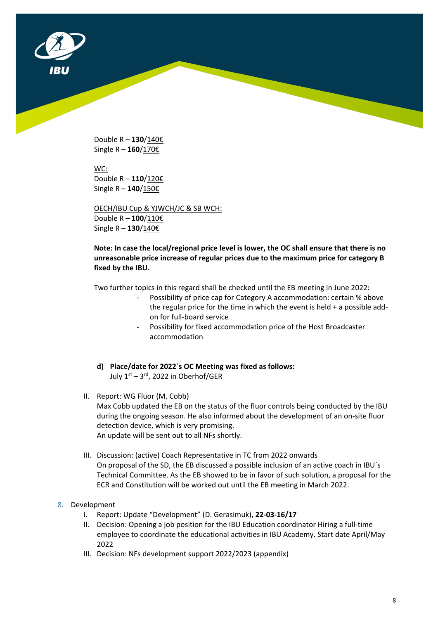

Double R – **130**/140€ Single R – **160**/170€

WC: Double R – **110**/120€ Single R – **140**/150€

OECH/IBU Cup & YJWCH/JC & SB WCH: Double R – **100**/110€ Single R – **130**/140€

**Note: In case the local/regional price level is lower, the OC shall ensure that there is no unreasonable price increase of regular prices due to the maximum price for category B fixed by the IBU.**

Two further topics in this regard shall be checked until the EB meeting in June 2022:

- Possibility of price cap for Category A accommodation: certain % above the regular price for the time in which the event is held + a possible addon for full-board service
- Possibility for fixed accommodation price of the Host Broadcaster accommodation
- **d) Place/date for 2022´s OC Meeting was fixed as follows:** July  $1<sup>st</sup> - 3<sup>rd</sup>$ , 2022 in Oberhof/GER
- II. Report: WG Fluor (M. Cobb) Max Cobb updated the EB on the status of the fluor controls being conducted by the IBU during the ongoing season. He also informed about the development of an on-site fluor detection device, which is very promising. An update will be sent out to all NFs shortly.
- III. Discussion: (active) Coach Representative in TC from 2022 onwards On proposal of the SD, the EB discussed a possible inclusion of an active coach in IBU´s Technical Committee. As the EB showed to be in favor of such solution, a proposal for the ECR and Constitution will be worked out until the EB meeting in March 2022.

### 8. Development

- I. Report: Update "Development" (D. Gerasimuk), **22-03-16/17**
- II. Decision: Opening a job position for the IBU Education coordinator Hiring a full-time employee to coordinate the educational activities in IBU Academy. Start date April/May 2022
- III. Decision: NFs development support 2022/2023 (appendix)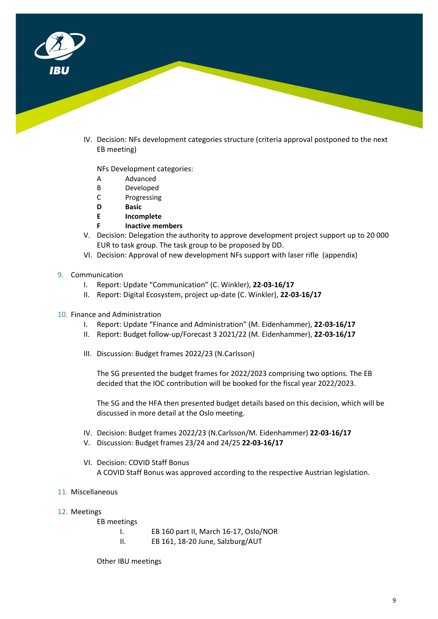

IV. Decision: NFs development categories structure (criteria approval postponed to the next EB meeting)

NFs Development categories:

- A Advanced
- B Developed
- C Progressing
- **D Basic**
- **E Incomplete**
- **F Inactive members**
- V. Decision: Delegation the authority to approve development project support up to 20 000 EUR to task group. The task group to be proposed by DD.
- VI. Decision: Approval of new development NFs support with laser rifle (appendix)
- 9. Communication
	- I. Report: Update "Communication" (C. Winkler), **22-03-16/17**
	- II. Report: Digital Ecosystem, project up-date (C. Winkler), **22-03-16/17**
- 10. Finance and Administration
	- I. Report: Update "Finance and Administration" (M. Eidenhammer), **22-03-16/17**
	- II. Report: Budget follow-up/Forecast 3 2021/22 (M. Eidenhammer), **22-03-16/17**
	- III. Discussion: Budget frames 2022/23 (N.Carlsson)

The SG presented the budget frames for 2022/2023 comprising two options. The EB decided that the IOC contribution will be booked for the fiscal year 2022/2023.

The SG and the HFA then presented budget details based on this decision, which will be discussed in more detail at the Oslo meeting.

- IV. Decision: Budget frames 2022/23 (N.Carlsson/M. Eidenhammer) **22-03-16/17**
- V. Discussion: Budget frames 23/24 and 24/25 **22-03-16/17**
- VI. Decision: COVID Staff Bonus A COVID Staff Bonus was approved according to the respective Austrian legislation.
- 11. Miscellaneous
- 12. Meetings

EB meetings

I. EB 160 part II, March 16-17, Oslo/NOR II. EB 161, 18-20 June, Salzburg/AUT

Other IBU meetings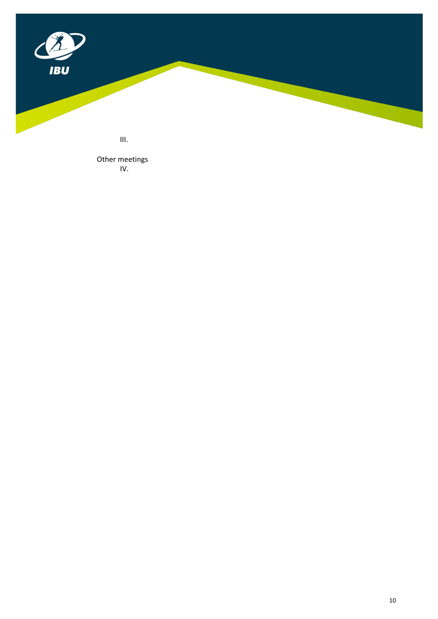

III.

Other meetings IV.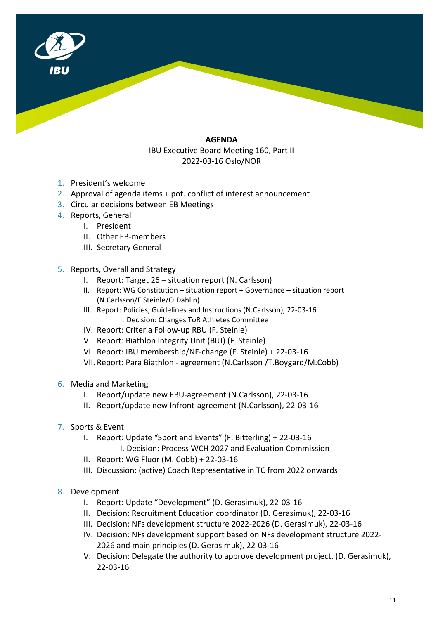

## **AGENDA**  IBU Executive Board Meeting 160, Part II 2022-03-16 Oslo/NOR

- 1. President's welcome
- 2. Approval of agenda items + pot. conflict of interest announcement
- 3. Circular decisions between EB Meetings
- 4. Reports, General
	- I. President
	- II. Other EB-members
	- III. Secretary General
- 5. Reports, Overall and Strategy
	- I. Report: Target 26 situation report (N. Carlsson)
	- II. Report: WG Constitution situation report + Governance situation report (N.Carlsson/F.Steinle/O.Dahlin)
	- III. Report: Policies, Guidelines and Instructions (N.Carlsson), 22-03-16 I. Decision: Changes ToR Athletes Committee
	- IV. Report: Criteria Follow-up RBU (F. Steinle)
	- V. Report: Biathlon Integrity Unit (BIU) (F. Steinle)
	- VI. Report: IBU membership/NF-change (F. Steinle) + 22-03-16
	- VII. Report: Para Biathlon agreement (N.Carlsson /T.Boygard/M.Cobb)
- 6. Media and Marketing
	- I. Report/update new EBU-agreement (N.Carlsson), 22-03-16
	- II. Report/update new Infront-agreement (N.Carlsson), 22-03-16
- 7. Sports & Event
	- I. Report: Update "Sport and Events" (F. Bitterling) + 22-03-16 I. Decision: Process WCH 2027 and Evaluation Commission
	- II. Report: WG Fluor (M. Cobb) + 22-03-16
	- III. Discussion: (active) Coach Representative in TC from 2022 onwards
- 8. Development
	- I. Report: Update "Development" (D. Gerasimuk), 22-03-16
	- II. Decision: Recruitment Education coordinator (D. Gerasimuk), 22-03-16
	- III. Decision: NFs development structure 2022-2026 (D. Gerasimuk), 22-03-16
	- IV. Decision: NFs development support based on NFs development structure 2022- 2026 and main principles (D. Gerasimuk), 22-03-16
	- V. Decision: Delegate the authority to approve development project. (D. Gerasimuk), 22-03-16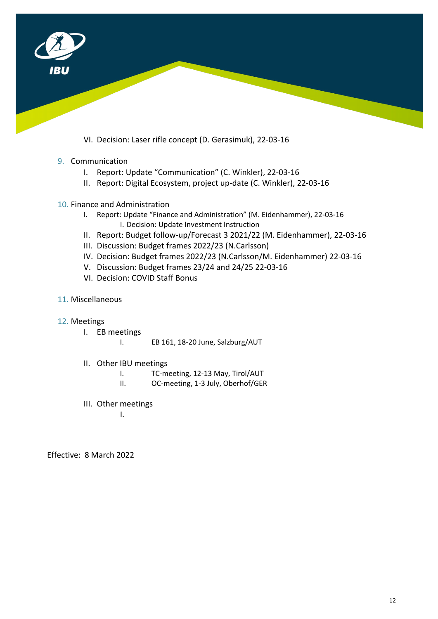

VI. Decision: Laser rifle concept (D. Gerasimuk), 22-03-16

## 9. Communication

- I. Report: Update "Communication" (C. Winkler), 22-03-16
- II. Report: Digital Ecosystem, project up-date (C. Winkler), 22-03-16
- 10. Finance and Administration
	- I. Report: Update "Finance and Administration" (M. Eidenhammer), 22-03-16 I. Decision: Update Investment Instruction
	- II. Report: Budget follow-up/Forecast 3 2021/22 (M. Eidenhammer), 22-03-16
	- III. Discussion: Budget frames 2022/23 (N.Carlsson)
	- IV. Decision: Budget frames 2022/23 (N.Carlsson/M. Eidenhammer) 22-03-16
	- V. Discussion: Budget frames 23/24 and 24/25 22-03-16
	- VI. Decision: COVID Staff Bonus
- 11. Miscellaneous
- 12. Meetings
	- I. EB meetings
		- I. EB 161, 18-20 June, Salzburg/AUT
	- II. Other IBU meetings
		- I. TC-meeting, 12-13 May, Tirol/AUT
		- II. OC-meeting, 1-3 July, Oberhof/GER
	- III. Other meetings

I.

Effective: 8 March 2022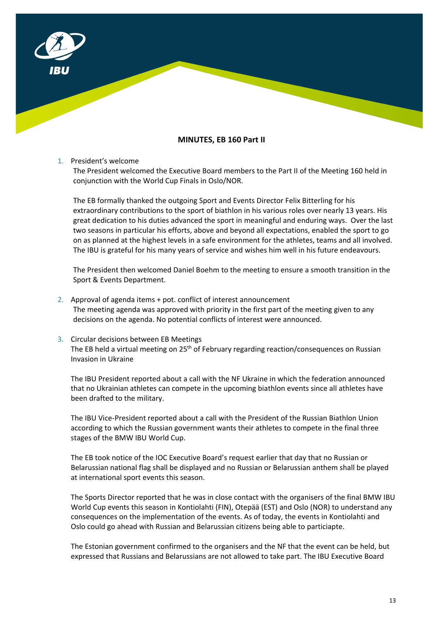

### **MINUTES, EB 160 Part II**

#### 1. President's welcome

The President welcomed the Executive Board members to the Part II of the Meeting 160 held in conjunction with the World Cup Finals in Oslo/NOR.

The EB formally thanked the outgoing Sport and Events Director Felix Bitterling for his extraordinary contributions to the sport of biathlon in his various roles over nearly 13 years. His great dedication to his duties advanced the sport in meaningful and enduring ways. Over the last two seasons in particular his efforts, above and beyond all expectations, enabled the sport to go on as planned at the highest levels in a safe environment for the athletes, teams and all involved. The IBU is grateful for his many years of service and wishes him well in his future endeavours.

The President then welcomed Daniel Boehm to the meeting to ensure a smooth transition in the Sport & Events Department.

- 2. Approval of agenda items + pot. conflict of interest announcement The meeting agenda was approved with priority in the first part of the meeting given to any decisions on the agenda. No potential conflicts of interest were announced.
- 3. Circular decisions between EB Meetings The EB held a virtual meeting on  $25<sup>th</sup>$  of February regarding reaction/consequences on Russian Invasion in Ukraine

The IBU President reported about a call with the NF Ukraine in which the federation announced that no Ukrainian athletes can compete in the upcoming biathlon events since all athletes have been drafted to the military.

The IBU Vice-President reported about a call with the President of the Russian Biathlon Union according to which the Russian government wants their athletes to compete in the final three stages of the BMW IBU World Cup.

The EB took notice of the IOC Executive Board's request earlier that day that no Russian or Belarussian national flag shall be displayed and no Russian or Belarussian anthem shall be played at international sport events this season.

The Sports Director reported that he was in close contact with the organisers of the final BMW IBU World Cup events this season in Kontiolahti (FIN), Otepää (EST) and Oslo (NOR) to understand any consequences on the implementation of the events. As of today, the events in Kontiolahti and Oslo could go ahead with Russian and Belarussian citizens being able to particiapte.

The Estonian government confirmed to the organisers and the NF that the event can be held, but expressed that Russians and Belarussians are not allowed to take part. The IBU Executive Board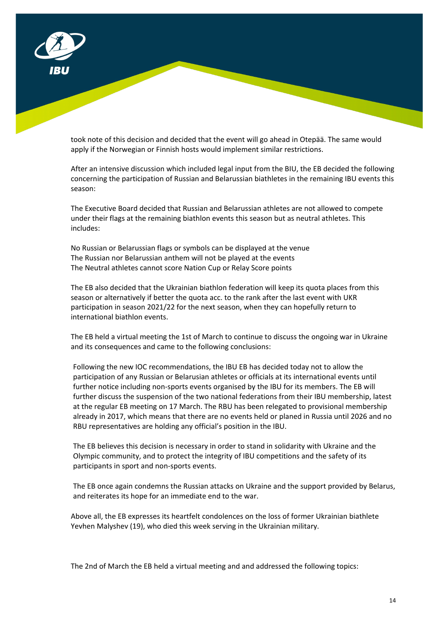

took note of this decision and decided that the event will go ahead in Otepää. The same would apply if the Norwegian or Finnish hosts would implement similar restrictions.

After an intensive discussion which included legal input from the BIU, the EB decided the following concerning the participation of Russian and Belarussian biathletes in the remaining IBU events this season:

The Executive Board decided that Russian and Belarussian athletes are not allowed to compete under their flags at the remaining biathlon events this season but as neutral athletes. This includes:

No Russian or Belarussian flags or symbols can be displayed at the venue The Russian nor Belarussian anthem will not be played at the events The Neutral athletes cannot score Nation Cup or Relay Score points

The EB also decided that the Ukrainian biathlon federation will keep its quota places from this season or alternatively if better the quota acc. to the rank after the last event with UKR participation in season 2021/22 for the next season, when they can hopefully return to international biathlon events.

The EB held a virtual meeting the 1st of March to continue to discuss the ongoing war in Ukraine and its consequences and came to the following conclusions:

Following the new IOC recommendations, the IBU EB has decided today not to allow the participation of any Russian or Belarusian athletes or officials at its international events until further notice including non-sports events organised by the IBU for its members. The EB will further discuss the suspension of the two national federations from their IBU membership, latest at the regular EB meeting on 17 March. The RBU has been relegated to provisional membership already in 2017, which means that there are no events held or planed in Russia until 2026 and no RBU representatives are holding any official's position in the IBU.

The EB believes this decision is necessary in order to stand in solidarity with Ukraine and the Olympic community, and to protect the integrity of IBU competitions and the safety of its participants in sport and non-sports events.

The EB once again condemns the Russian attacks on Ukraine and the support provided by Belarus, and reiterates its hope for an immediate end to the war.

Above all, the EB expresses its heartfelt condolences on the loss of former Ukrainian biathlete Yevhen Malyshev (19), who died this week serving in the Ukrainian military.

The 2nd of March the EB held a virtual meeting and and addressed the following topics: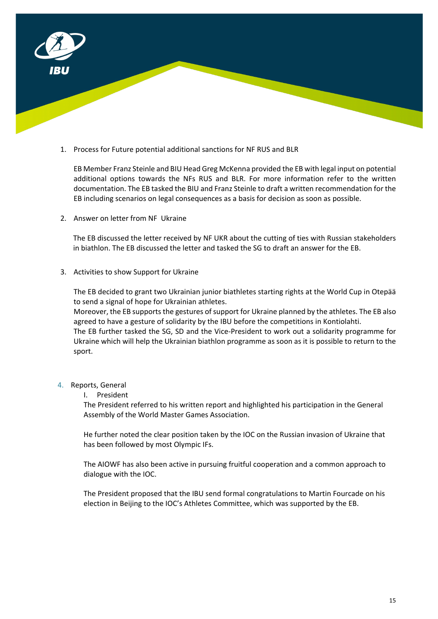

1. Process for Future potential additional sanctions for NF RUS and BLR

EB Member Franz Steinle and BIU Head Greg McKenna provided the EB with legal input on potential additional options towards the NFs RUS and BLR. For more information refer to the written documentation. The EB tasked the BIU and Franz Steinle to draft a written recommendation for the EB including scenarios on legal consequences as a basis for decision as soon as possible.

2. Answer on letter from NF Ukraine

The EB discussed the letter received by NF UKR about the cutting of ties with Russian stakeholders in biathlon. The EB discussed the letter and tasked the SG to draft an answer for the EB.

3. Activities to show Support for Ukraine

The EB decided to grant two Ukrainian junior biathletes starting rights at the World Cup in Otepää to send a signal of hope for Ukrainian athletes.

Moreover, the EB supports the gestures of support for Ukraine planned by the athletes. The EB also agreed to have a gesture of solidarity by the IBU before the competitions in Kontiolahti.

The EB further tasked the SG, SD and the Vice-President to work out a solidarity programme for Ukraine which will help the Ukrainian biathlon programme as soon as it is possible to return to the sport.

- 4. Reports, General
	- I. President

The President referred to his written report and highlighted his participation in the General Assembly of the World Master Games Association.

He further noted the clear position taken by the IOC on the Russian invasion of Ukraine that has been followed by most Olympic IFs.

The AIOWF has also been active in pursuing fruitful cooperation and a common approach to dialogue with the IOC.

The President proposed that the IBU send formal congratulations to Martin Fourcade on his election in Beijing to the IOC's Athletes Committee, which was supported by the EB.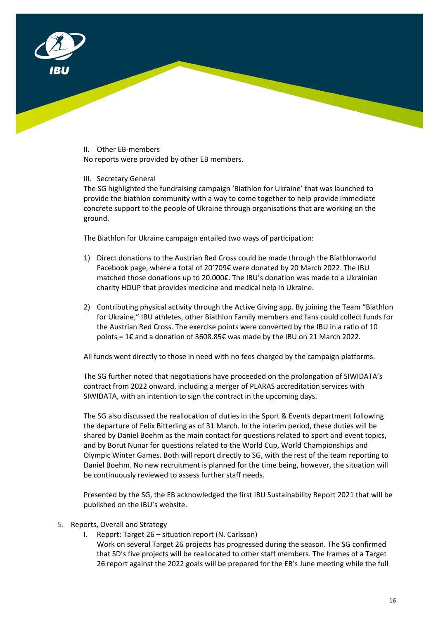

II. Other EB-members

No reports were provided by other EB members.

## III. Secretary General

The SG highlighted the fundraising campaign 'Biathlon for Ukraine' that was launched to provide the biathlon community with a way to come together to help provide immediate concrete support to the people of Ukraine through organisations that are working on the ground.

The Biathlon for Ukraine campaign entailed two ways of participation:

- 1) Direct donations to the Austrian Red Cross could be made through the Biathlonworld Facebook page, where a total of 20'709€ were donated by 20 March 2022. The IBU matched those donations up to 20.000€. The IBU's donation was made to a Ukrainian charity HOUP that provides medicine and medical help in Ukraine.
- 2) Contributing physical activity through the Active Giving app. By joining the Team "Biathlon for Ukraine," IBU athletes, other Biathlon Family members and fans could collect funds for the Austrian Red Cross. The exercise points were converted by the IBU in a ratio of 10 points = 1€ and a donation of 3608.85€ was made by the IBU on 21 March 2022.

All funds went directly to those in need with no fees charged by the campaign platforms.

The SG further noted that negotiations have proceeded on the prolongation of SIWIDATA's contract from 2022 onward, including a merger of PLARAS accreditation services with SIWIDATA, with an intention to sign the contract in the upcoming days.

The SG also discussed the reallocation of duties in the Sport & Events department following the departure of Felix Bitterling as of 31 March. In the interim period, these duties will be shared by Daniel Boehm as the main contact for questions related to sport and event topics, and by Borut Nunar for questions related to the World Cup, World Championships and Olympic Winter Games. Both will report directly to SG, with the rest of the team reporting to Daniel Boehm. No new recruitment is planned for the time being, however, the situation will be continuously reviewed to assess further staff needs.

Presented by the SG, the EB acknowledged the first IBU Sustainability Report 2021 that will be published on the IBU's website.

- 5. Reports, Overall and Strategy
	- I. Report: Target 26 situation report (N. Carlsson) Work on several Target 26 projects has progressed during the season. The SG confirmed that SD's five projects will be reallocated to other staff members. The frames of a Target 26 report against the 2022 goals will be prepared for the EB's June meeting while the full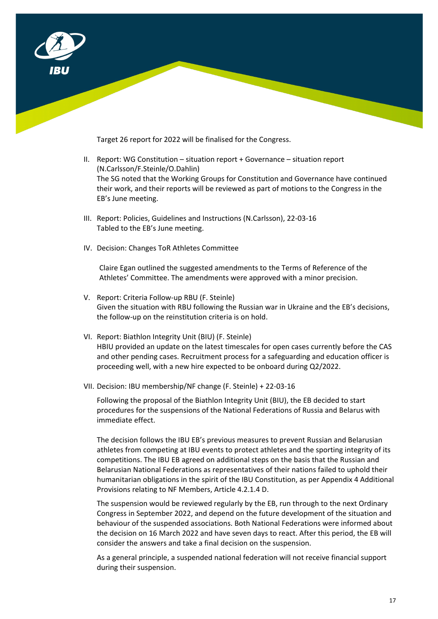

Target 26 report for 2022 will be finalised for the Congress.

- II. Report: WG Constitution situation report + Governance situation report (N.Carlsson/F.Steinle/O.Dahlin) The SG noted that the Working Groups for Constitution and Governance have continued their work, and their reports will be reviewed as part of motions to the Congress in the EB's June meeting.
- III. Report: Policies, Guidelines and Instructions (N.Carlsson), 22-03-16 Tabled to the EB's June meeting.
- IV. Decision: Changes ToR Athletes Committee

Claire Egan outlined the suggested amendments to the Terms of Reference of the Athletes' Committee. The amendments were approved with a minor precision.

- V. Report: Criteria Follow-up RBU (F. Steinle) Given the situation with RBU following the Russian war in Ukraine and the EB's decisions, the follow-up on the reinstitution criteria is on hold.
- VI. Report: Biathlon Integrity Unit (BIU) (F. Steinle) HBIU provided an update on the latest timescales for open cases currently before the CAS and other pending cases. Recruitment process for a safeguarding and education officer is proceeding well, with a new hire expected to be onboard during Q2/2022.
- VII. Decision: IBU membership/NF change (F. Steinle) + 22-03-16

Following the proposal of the Biathlon Integrity Unit (BIU), the EB decided to start procedures for the suspensions of the National Federations of Russia and Belarus with immediate effect.

The decision follows the IBU EB's previous measures to prevent Russian and Belarusian athletes from competing at IBU events to protect athletes and the sporting integrity of its competitions. The IBU EB agreed on additional steps on the basis that the Russian and Belarusian National Federations as representatives of their nations failed to uphold their humanitarian obligations in the spirit of the IBU Constitution, as per Appendix 4 Additional Provisions relating to NF Members, Article 4.2.1.4 D.

The suspension would be reviewed regularly by the EB, run through to the next Ordinary Congress in September 2022, and depend on the future development of the situation and behaviour of the suspended associations. Both National Federations were informed about the decision on 16 March 2022 and have seven days to react. After this period, the EB will consider the answers and take a final decision on the suspension.

As a general principle, a suspended national federation will not receive financial support during their suspension.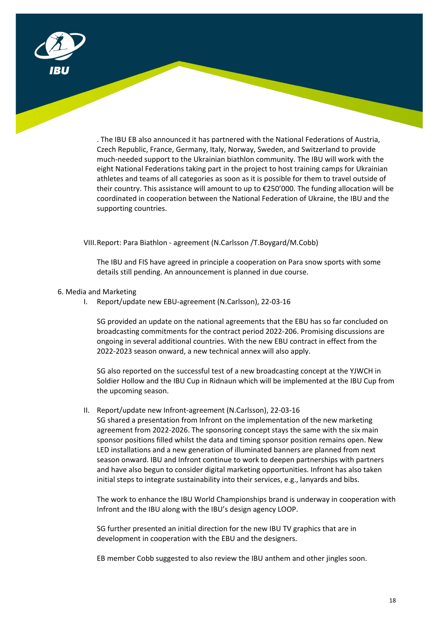

. The IBU EB also announced it has partnered with the National Federations of Austria, Czech Republic, France, Germany, Italy, Norway, Sweden, and Switzerland to provide much-needed support to the Ukrainian biathlon community. The IBU will work with the eight National Federations taking part in the project to host training camps for Ukrainian athletes and teams of all categories as soon as it is possible for them to travel outside of their country. This assistance will amount to up to €250'000. The funding allocation will be coordinated in cooperation between the National Federation of Ukraine, the IBU and the supporting countries.

VIII.Report: Para Biathlon - agreement (N.Carlsson /T.Boygard/M.Cobb)

The IBU and FIS have agreed in principle a cooperation on Para snow sports with some details still pending. An announcement is planned in due course.

#### 6. Media and Marketing

I. Report/update new EBU-agreement (N.Carlsson), 22-03-16

SG provided an update on the national agreements that the EBU has so far concluded on broadcasting commitments for the contract period 2022-206. Promising discussions are ongoing in several additional countries. With the new EBU contract in effect from the 2022-2023 season onward, a new technical annex will also apply.

SG also reported on the successful test of a new broadcasting concept at the YJWCH in Soldier Hollow and the IBU Cup in Ridnaun which will be implemented at the IBU Cup from the upcoming season.

II. Report/update new Infront-agreement (N.Carlsson), 22-03-16

SG shared a presentation from Infront on the implementation of the new marketing agreement from 2022-2026. The sponsoring concept stays the same with the six main sponsor positions filled whilst the data and timing sponsor position remains open. New LED installations and a new generation of illuminated banners are planned from next season onward. IBU and Infront continue to work to deepen partnerships with partners and have also begun to consider digital marketing opportunities. Infront has also taken initial steps to integrate sustainability into their services, e.g., lanyards and bibs.

The work to enhance the IBU World Championships brand is underway in cooperation with Infront and the IBU along with the IBU's design agency LOOP.

SG further presented an initial direction for the new IBU TV graphics that are in development in cooperation with the EBU and the designers.

EB member Cobb suggested to also review the IBU anthem and other jingles soon.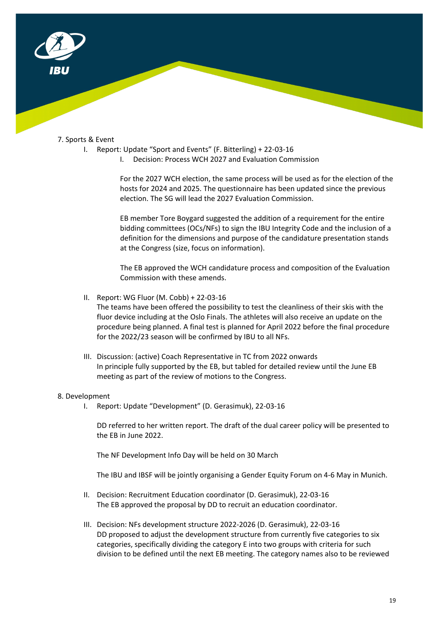

### 7. Sports & Event

- I. Report: Update "Sport and Events" (F. Bitterling) + 22-03-16
	- I. Decision: Process WCH 2027 and Evaluation Commission

For the 2027 WCH election, the same process will be used as for the election of the hosts for 2024 and 2025. The questionnaire has been updated since the previous election. The SG will lead the 2027 Evaluation Commission.

EB member Tore Boygard suggested the addition of a requirement for the entire bidding committees (OCs/NFs) to sign the IBU Integrity Code and the inclusion of a definition for the dimensions and purpose of the candidature presentation stands at the Congress (size, focus on information).

The EB approved the WCH candidature process and composition of the Evaluation Commission with these amends.

II. Report: WG Fluor (M. Cobb) + 22-03-16

The teams have been offered the possibility to test the cleanliness of their skis with the fluor device including at the Oslo Finals. The athletes will also receive an update on the procedure being planned. A final test is planned for April 2022 before the final procedure for the 2022/23 season will be confirmed by IBU to all NFs.

III. Discussion: (active) Coach Representative in TC from 2022 onwards In principle fully supported by the EB, but tabled for detailed review until the June EB meeting as part of the review of motions to the Congress.

#### 8. Development

I. Report: Update "Development" (D. Gerasimuk), 22-03-16

DD referred to her written report. The draft of the dual career policy will be presented to the EB in June 2022.

The NF Development Info Day will be held on 30 March

The IBU and IBSF will be jointly organising a Gender Equity Forum on 4-6 May in Munich.

- II. Decision: Recruitment Education coordinator (D. Gerasimuk), 22-03-16 The EB approved the proposal by DD to recruit an education coordinator.
- III. Decision: NFs development structure 2022-2026 (D. Gerasimuk), 22-03-16 DD proposed to adjust the development structure from currently five categories to six categories, specifically dividing the category E into two groups with criteria for such division to be defined until the next EB meeting. The category names also to be reviewed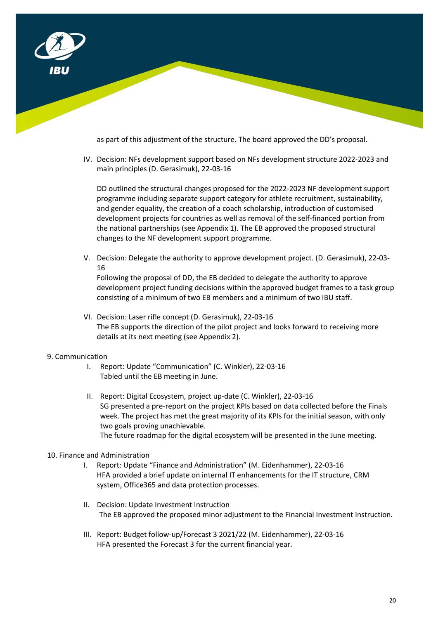

as part of this adjustment of the structure. The board approved the DD's proposal.

IV. Decision: NFs development support based on NFs development structure 2022-2023 and main principles (D. Gerasimuk), 22-03-16

DD outlined the structural changes proposed for the 2022-2023 NF development support programme including separate support category for athlete recruitment, sustainability, and gender equality, the creation of a coach scholarship, introduction of customised development projects for countries as well as removal of the self-financed portion from the national partnerships (see Appendix 1). The EB approved the proposed structural changes to the NF development support programme.

V. Decision: Delegate the authority to approve development project. (D. Gerasimuk), 22-03- 16

Following the proposal of DD, the EB decided to delegate the authority to approve development project funding decisions within the approved budget frames to a task group consisting of a minimum of two EB members and a minimum of two IBU staff.

VI. Decision: Laser rifle concept (D. Gerasimuk), 22-03-16 The EB supports the direction of the pilot project and looks forward to receiving more details at its next meeting (see Appendix 2).

## 9. Communication

- I. Report: Update "Communication" (C. Winkler), 22-03-16 Tabled until the EB meeting in June.
- II. Report: Digital Ecosystem, project up-date (C. Winkler), 22-03-16 SG presented a pre-report on the project KPIs based on data collected before the Finals week. The project has met the great majority of its KPIs for the initial season, with only two goals proving unachievable. The future roadmap for the digital ecosystem will be presented in the June meeting.

## 10. Finance and Administration

- I. Report: Update "Finance and Administration" (M. Eidenhammer), 22-03-16 HFA provided a brief update on internal IT enhancements for the IT structure, CRM system, Office365 and data protection processes.
- II. Decision: Update Investment Instruction The EB approved the proposed minor adjustment to the Financial Investment Instruction.
- III. Report: Budget follow-up/Forecast 3 2021/22 (M. Eidenhammer), 22-03-16 HFA presented the Forecast 3 for the current financial year.